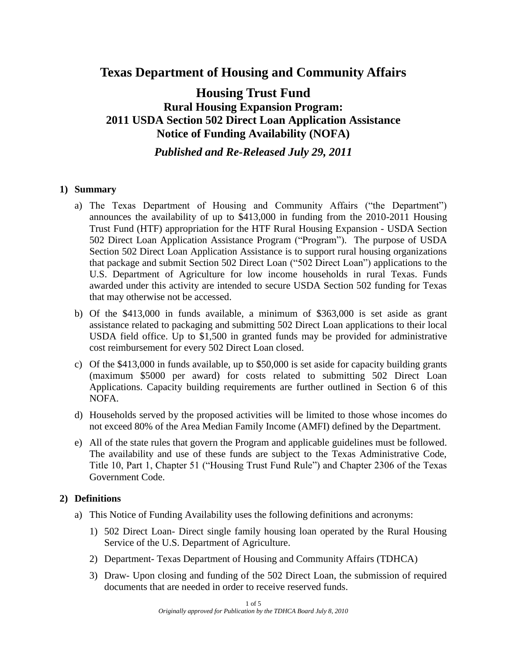# **Texas Department of Housing and Community Affairs**

# **Housing Trust Fund Rural Housing Expansion Program: 2011 USDA Section 502 Direct Loan Application Assistance Notice of Funding Availability (NOFA)**

*Published and Re-Released July 29, 2011*

### **1) Summary**

- a) The Texas Department of Housing and Community Affairs ("the Department") announces the availability of up to \$413,000 in funding from the 2010-2011 Housing Trust Fund (HTF) appropriation for the HTF Rural Housing Expansion - USDA Section 502 Direct Loan Application Assistance Program ("Program"). The purpose of USDA Section 502 Direct Loan Application Assistance is to support rural housing organizations that package and submit Section 502 Direct Loan ("502 Direct Loan") applications to the U.S. Department of Agriculture for low income households in rural Texas. Funds awarded under this activity are intended to secure USDA Section 502 funding for Texas that may otherwise not be accessed.
- b) Of the \$413,000 in funds available, a minimum of \$363,000 is set aside as grant assistance related to packaging and submitting 502 Direct Loan applications to their local USDA field office. Up to \$1,500 in granted funds may be provided for administrative cost reimbursement for every 502 Direct Loan closed.
- c) Of the \$413,000 in funds available, up to \$50,000 is set aside for capacity building grants (maximum \$5000 per award) for costs related to submitting 502 Direct Loan Applications. Capacity building requirements are further outlined in Section 6 of this NOFA.
- d) Households served by the proposed activities will be limited to those whose incomes do not exceed 80% of the Area Median Family Income (AMFI) defined by the Department.
- e) All of the state rules that govern the Program and applicable guidelines must be followed. The availability and use of these funds are subject to the Texas Administrative Code, Title 10, Part 1, Chapter 51 ("Housing Trust Fund Rule") and Chapter 2306 of the Texas Government Code.

# **2) Definitions**

- a) This Notice of Funding Availability uses the following definitions and acronyms:
	- 1) 502 Direct Loan- Direct single family housing loan operated by the Rural Housing Service of the U.S. Department of Agriculture.
	- 2) Department- Texas Department of Housing and Community Affairs (TDHCA)
	- 3) Draw- Upon closing and funding of the 502 Direct Loan, the submission of required documents that are needed in order to receive reserved funds.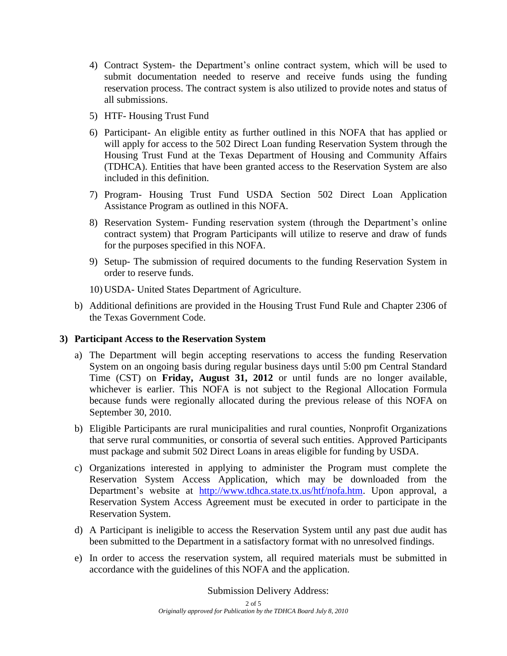- 4) Contract System- the Department's online contract system, which will be used to submit documentation needed to reserve and receive funds using the funding reservation process. The contract system is also utilized to provide notes and status of all submissions.
- 5) HTF- Housing Trust Fund
- 6) Participant- An eligible entity as further outlined in this NOFA that has applied or will apply for access to the 502 Direct Loan funding Reservation System through the Housing Trust Fund at the Texas Department of Housing and Community Affairs (TDHCA). Entities that have been granted access to the Reservation System are also included in this definition.
- 7) Program- Housing Trust Fund USDA Section 502 Direct Loan Application Assistance Program as outlined in this NOFA.
- 8) Reservation System- Funding reservation system (through the Department's online contract system) that Program Participants will utilize to reserve and draw of funds for the purposes specified in this NOFA.
- 9) Setup- The submission of required documents to the funding Reservation System in order to reserve funds.
- 10) USDA- United States Department of Agriculture.
- b) Additional definitions are provided in the Housing Trust Fund Rule and Chapter 2306 of the Texas Government Code.

# **3) Participant Access to the Reservation System**

- a) The Department will begin accepting reservations to access the funding Reservation System on an ongoing basis during regular business days until 5:00 pm Central Standard Time (CST) on **Friday, August 31, 2012** or until funds are no longer available, whichever is earlier. This NOFA is not subject to the Regional Allocation Formula because funds were regionally allocated during the previous release of this NOFA on September 30, 2010.
- b) Eligible Participants are rural municipalities and rural counties, Nonprofit Organizations that serve rural communities, or consortia of several such entities. Approved Participants must package and submit 502 Direct Loans in areas eligible for funding by USDA.
- c) Organizations interested in applying to administer the Program must complete the Reservation System Access Application, which may be downloaded from the Department's website at [http://www.tdhca.state.tx.us/htf/nofa.htm.](http://www.tdhca.state.tx.us/htf/nofa.htm) Upon approval, a Reservation System Access Agreement must be executed in order to participate in the Reservation System.
- d) A Participant is ineligible to access the Reservation System until any past due audit has been submitted to the Department in a satisfactory format with no unresolved findings.
- e) In order to access the reservation system, all required materials must be submitted in accordance with the guidelines of this NOFA and the application.

Submission Delivery Address: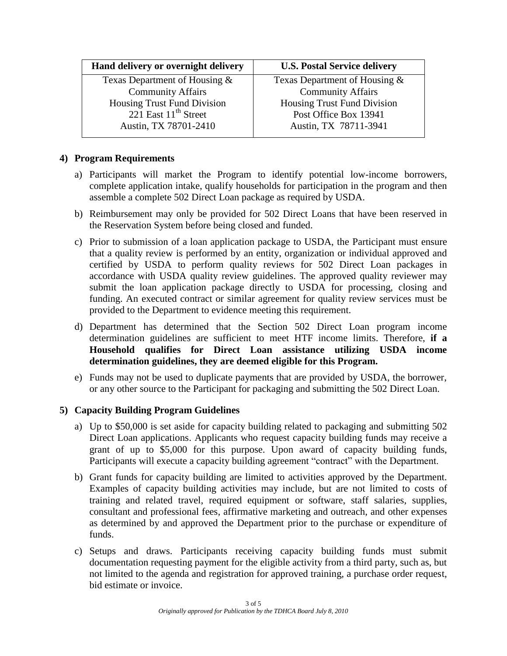| Hand delivery or overnight delivery | <b>U.S. Postal Service delivery</b> |
|-------------------------------------|-------------------------------------|
| Texas Department of Housing $\&$    | Texas Department of Housing &       |
| <b>Community Affairs</b>            | <b>Community Affairs</b>            |
| Housing Trust Fund Division         | Housing Trust Fund Division         |
| 221 East 11 <sup>th</sup> Street    | Post Office Box 13941               |
| Austin, TX 78701-2410               | Austin, TX 78711-3941               |
|                                     |                                     |

## **4) Program Requirements**

- a) Participants will market the Program to identify potential low-income borrowers, complete application intake, qualify households for participation in the program and then assemble a complete 502 Direct Loan package as required by USDA.
- b) Reimbursement may only be provided for 502 Direct Loans that have been reserved in the Reservation System before being closed and funded.
- c) Prior to submission of a loan application package to USDA, the Participant must ensure that a quality review is performed by an entity, organization or individual approved and certified by USDA to perform quality reviews for 502 Direct Loan packages in accordance with USDA quality review guidelines. The approved quality reviewer may submit the loan application package directly to USDA for processing, closing and funding. An executed contract or similar agreement for quality review services must be provided to the Department to evidence meeting this requirement.
- d) Department has determined that the Section 502 Direct Loan program income determination guidelines are sufficient to meet HTF income limits. Therefore, **if a Household qualifies for Direct Loan assistance utilizing USDA income determination guidelines, they are deemed eligible for this Program.**
- e) Funds may not be used to duplicate payments that are provided by USDA, the borrower, or any other source to the Participant for packaging and submitting the 502 Direct Loan.

#### **5) Capacity Building Program Guidelines**

- a) Up to \$50,000 is set aside for capacity building related to packaging and submitting 502 Direct Loan applications. Applicants who request capacity building funds may receive a grant of up to \$5,000 for this purpose. Upon award of capacity building funds, Participants will execute a capacity building agreement "contract" with the Department.
- b) Grant funds for capacity building are limited to activities approved by the Department. Examples of capacity building activities may include, but are not limited to costs of training and related travel, required equipment or software, staff salaries, supplies, consultant and professional fees, affirmative marketing and outreach, and other expenses as determined by and approved the Department prior to the purchase or expenditure of funds.
- c) Setups and draws. Participants receiving capacity building funds must submit documentation requesting payment for the eligible activity from a third party, such as, but not limited to the agenda and registration for approved training, a purchase order request, bid estimate or invoice.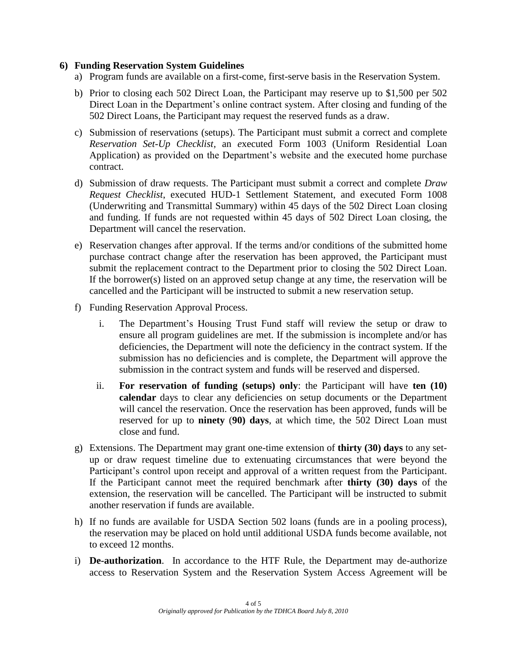#### **6) Funding Reservation System Guidelines**

- a) Program funds are available on a first-come, first-serve basis in the Reservation System.
- b) Prior to closing each 502 Direct Loan, the Participant may reserve up to \$1,500 per 502 Direct Loan in the Department's online contract system. After closing and funding of the 502 Direct Loans, the Participant may request the reserved funds as a draw.
- c) Submission of reservations (setups). The Participant must submit a correct and complete *Reservation Set-Up Checklist,* an *e*xecuted Form 1003 (Uniform Residential Loan Application) as provided on the Department's website and the executed home purchase contract.
- d) Submission of draw requests. The Participant must submit a correct and complete *Draw Request Checklist*, executed HUD-1 Settlement Statement, and executed Form 1008 (Underwriting and Transmittal Summary) within 45 days of the 502 Direct Loan closing and funding. If funds are not requested within 45 days of 502 Direct Loan closing, the Department will cancel the reservation.
- e) Reservation changes after approval. If the terms and/or conditions of the submitted home purchase contract change after the reservation has been approved, the Participant must submit the replacement contract to the Department prior to closing the 502 Direct Loan. If the borrower(s) listed on an approved setup change at any time, the reservation will be cancelled and the Participant will be instructed to submit a new reservation setup.
- f) Funding Reservation Approval Process.
	- i. The Department's Housing Trust Fund staff will review the setup or draw to ensure all program guidelines are met. If the submission is incomplete and/or has deficiencies, the Department will note the deficiency in the contract system. If the submission has no deficiencies and is complete, the Department will approve the submission in the contract system and funds will be reserved and dispersed.
	- ii. **For reservation of funding (setups) only**: the Participant will have **ten (10) calendar** days to clear any deficiencies on setup documents or the Department will cancel the reservation. Once the reservation has been approved, funds will be reserved for up to **ninety** (**90) days**, at which time, the 502 Direct Loan must close and fund.
- g) Extensions. The Department may grant one-time extension of **thirty (30) days** to any setup or draw request timeline due to extenuating circumstances that were beyond the Participant's control upon receipt and approval of a written request from the Participant. If the Participant cannot meet the required benchmark after **thirty (30) days** of the extension, the reservation will be cancelled. The Participant will be instructed to submit another reservation if funds are available.
- h) If no funds are available for USDA Section 502 loans (funds are in a pooling process), the reservation may be placed on hold until additional USDA funds become available, not to exceed 12 months.
- i) **De-authorization**. In accordance to the HTF Rule, the Department may de-authorize access to Reservation System and the Reservation System Access Agreement will be